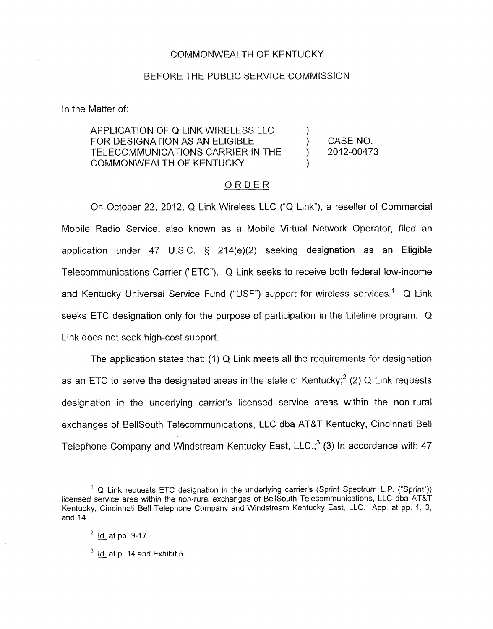## COMMONWEALTH OF KENTUCKY

# BEFORE THE PUBLIC SERVICE COMMISSION

In the Matter of:

APPLICATION OF Q LINK WIRELESS LLC 1 FOR DESIGNATION AS AN ELIGIBLE ) CASENO. TELECOMMUNICATIONS CARRIER IN THE ) 2012-00473 COMMONWEALTH OF KENTUCKY )

## ORDER

On October 22, 2012, Q Link Wireless LLC ("Q Link"), a reseller of Commercial Mobile Radio Service, also known as a Mobile Virtual Network Operator, filed an application under 47 U.S.C. *5* 214(e)(2) seeking designation as an Eligible Telecommunications Carrier ("ETC"). Q Link seeks to receive both federal low-income and Kentucky Universal Service Fund ("USF") support for wireless services.<sup>1</sup> Q Link seeks ETC designation only for the purpose of participation in the Lifeline program. Q Link does not seek high-cost support.

The application states that:  $(1)$  Q Link meets all the requirements for designation as an ETC to serve the designated areas in the state of Kentucky;<sup>2</sup> (2) Q Link requests designation in the underlying carrier's licensed service areas within the non-rural exchanges of BellSouth Telecommunications, LLC dba AT&T Kentucky, Cincinnati Bell Telephone Company and Windstream Kentucky East, LLC.; $3$  (3) In accordance with 47

<sup>&</sup>lt;sup>1</sup> Q Link requests ETC designation in the underlying carrier's (Sprint Spectrum L.P. ("Sprint")) licensed service area within the non-rural exchanges of BellSouth Telecommunications, LLC dba AT&T Kentucky, Cincinnati Bell Telephone Company and Windstream Kentucky East, LLC. App. at pp. 1, 3, and 14.

Id. at pp 9-17. **2** -

<sup>&</sup>lt;sup>3</sup> <u>Id.</u> at p. 14 and Exhibit 5. <u>ld.</u> at<br><u>Id.</u> at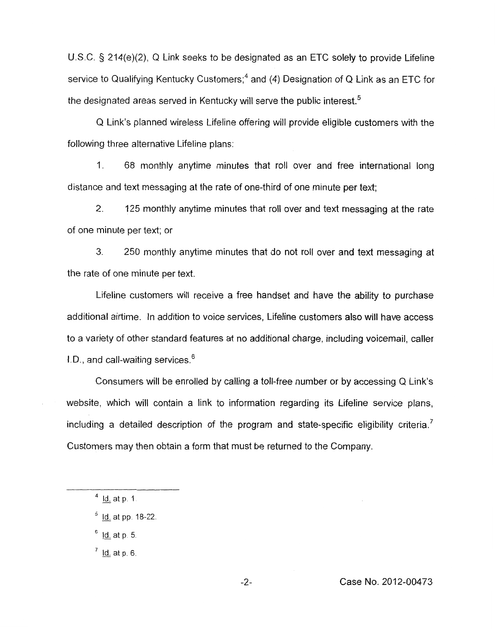U.S.C. *5* 214(e)(2), Q Link seeks to be designated as an ETC solely to provide Lifeline service to Qualifying Kentucky Customers:<sup>4</sup> and (4) Designation of Q Link as an ETC for the designated areas served in Kentucky will serve the public interest.<sup>5</sup>

Q Link's planned wireless Lifeline offering will provide eligible customers with the following three alternative Lifeline plans:

1. 68 monthly anytime minutes that roll over and free international long distance and text messaging at the rate of one-third of one minute per text;

2. 125 monthly anytime minutes that roll over and text messaging at the rate of one minute per text; or

3. 250 monthly anytime minutes that do not roll over and text messaging at the rate of one minute per text.

Lifeline customers will receive a free handset and have the ability to purchase additional airtime. In addition to voice services, Lifeline customers also will have access to a variety of other standard features at no additional charge, including voicemail, caller I.D., and call-waiting services. $6$ 

Consumers will be enrolled by calling a toll-free number or by accessing Q Link's website, which will contain a link to information regarding its Lifeline service plans, including a detailed description of the program and state-specific eligibility criteria.<sup>7</sup> Customers may then obtain a form that must be returned to the Company.

<sup>5</sup> <u>Id.</u> at pp. 1<br><sup>6</sup> <u>Id.</u> at p. 5.

<sup>&</sup>lt;sup>4</sup> <u>Id.</u> at p. 1.

<sup>&</sup>lt;sup>4</sup> <u>Id.</u> at p. 1.<br><sup>5</sup> <u>Id.</u> at pp. 18-22.

 $<sup>7</sup>$  Id. at p. 6.</sup>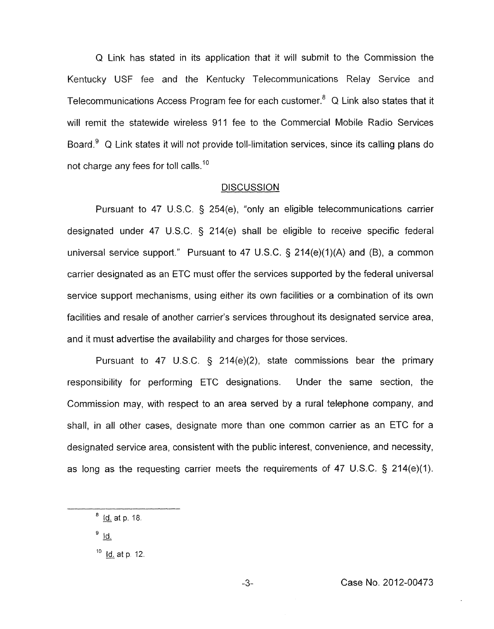Q Link has stated in its application that it will submit to the Commission the Kentucky USF fee and the Kentucky Telecommunications Relay Service and Telecommunications Access Program fee for each customer.<sup>8</sup> Q Link also states that it will remit the statewide wireless 911 fee to the Commercial Mobile Radio Services Board.<sup>9</sup> Q Link states it will not provide toll-limitation services, since its calling plans do not charge any fees for toll calls.<sup>10</sup>

#### **DISCUSSION**

Pursuant to 47 U.S.C. § 254(e), "only an eligible telecommunications carrier designated under 47 U.S.C. § 214(e) shall be eligible to receive specific federal universal service support." Pursuant to 47 U.S.C.  $\S$  214(e)(1)(A) and (B), a common carrier designated as an ETC must offer the services supported **by** the federal universal service support mechanisms, using either its own facilities or a combination of its own facilities and resale of another carrier's services throughout its designated service area, and it must advertise the availability and charges for those services.

Pursuant to 47 U.S.C.  $\frac{1}{2}$  214(e)(2), state commissions bear the primary responsibility for performing ETC designations. Under the same section, the Commission may, with respect to an area served by a rural telephone company, and shall, in all other cases, designate more than one common carrier as an ETC for a designated service area, consistent with the public interest, convenience, and necessity, as long as the requesting carrier meets the requirements of 47 U.S.C. § 214(e)(1).

 $9$  Id.

<sup>&</sup>lt;sup>8</sup> <u>Id.</u> at p. 18. <u>ld.</u> at <sup>8</sup> <u>Id.</u> at<br><sup>9</sup> <u>Id.</u>

 $10$  Id. at p. 12.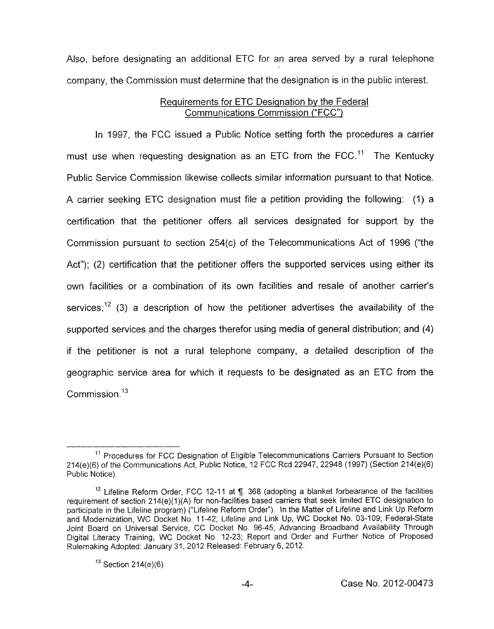Also, before designating an additional ETC for an area served by a rural telephone company, the Commission must determine that the designation is in the public interest.

# Requirements for ETC Designation by the Federal Communications Commission ("FCC")

In 1997, the FCC issued a Public Notice setting forth the procedures a carrier must use when requesting designation as an ETC from the FCC.<sup>11</sup> The Kentucky Public Service Commission likewise collects similar information pursuant to that Notice. A carrier seeking ETC designation must file a petition providing the following: (I) a certification that the petitioner offers all services designated for support by the Commission pursuant to section 254(c) of the Telecommunications Act of 1996 ("the Act"); (2) certification that the petitioner offers the supported services using either its own facilities or a combination of its own facilities and resale of another carrier's services;<sup>12</sup> (3) a description of how the petitioner advertises the availability of the supported services and the charges therefor using media of general distribution; and (4) if the petitioner is not a rural telephone company, a detailed description of the geographic service area for which it requests to be designated *as* an ETC from the Commission.<sup>13</sup>

<sup>&</sup>lt;sup>11</sup> Procedures for FCC Designation of Eligible Telecommunications Carriers Pursuant to Section 214(e)(6) of the Communications Act, Public Notice, 12 FCC Rcd 22947, 22948 (1997) (Section 214(e)(6) Public Notice).

Lifeline Reform Order, FCC 12-11 at **9.** 368 (adopting a blanket forbearance of the facilities **12**  requirement of section 214(e)(1)(A) for non-facilities based carriers that seek limited ETC designation to participate in the Lifeline program) ("Lifeline Reform Order"). In the Matter of Lifeline and Link Up Reform and Modernization, WC Docket No. 11-42; Lifeline and Link Up, WC Docket No. 03-109; Federal-State Joint Board on Universal Service, CC Docket No 96-45; Advancing Broadband Availability Through Digital Literacy Training, WC Docket **No** 12-23; Report and Order and Further Notice of Proposed Rulemaking Adopted: January 31, 2012 Released. February 6, 2012.

 $13$  Section 214(e)(6).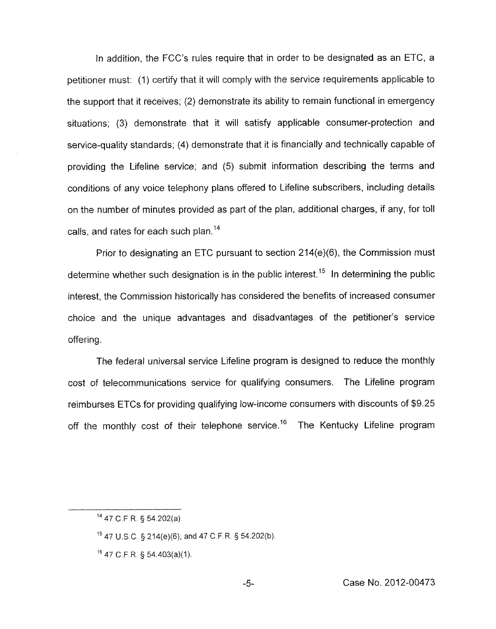In addition, the FCC's rules require that in order to be designated as an ETC, a petitioner must: (I) certify that it will comply with the service requirements applicable to the support that it receives; (2) demonstrate its ability to remain functional in emergency situations; (3) demonstrate that it will satisfy applicable consumer-protection and service-quality standards; (4) demonstrate that it is financially and technically capable of providing the Lifeline service; and (5) submit information describing the terms and conditions of any voice telephony plans offered to Lifeline subscribers, including details on the number of minutes provided as part of the plan, additional charges, if any, for toll calls, and rates for each such plan.<sup>14</sup>

Prior to designating an ETC pursuant to section 214(e)(6), the Commission must determine whether such designation is in the public interest.<sup>15</sup> In determining the public interest, the Commission historically has considered the benefits of increased consumer choice and the unique advantages and disadvantages of the petitioner's service offering.

The federal universal service Lifeline program is designed to reduce the monthly cost of telecommunications service for qualifying consumers. The Lifeline program reimburses ETCs for providing qualifying low-income consumers with discounts of \$9.25 off the monthly cost of their telephone service.<sup>16</sup> The Kentucky Lifeline program

**l4** 47 C.F R. § 54.202(a).

<sup>&</sup>lt;sup>15</sup> 47 U.S.C. § 214(e)(6); and 47 C.F.R. § 54.202(b).

 $16$  47 C.F.R. § 54.403(a)(1).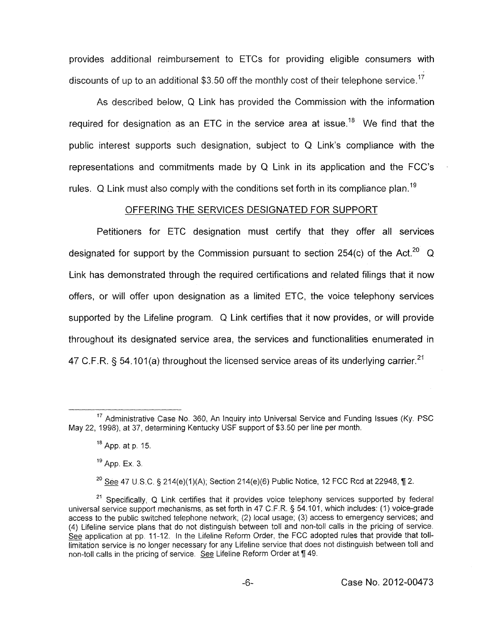provides additional reimbursement to ETCs for providing eligible consumers with discounts of up to an additional \$3.50 off the monthly cost of their telephone service.<sup>17</sup>

As described below, Q Link has provided the Commission with the information required for designation as an ETC in the service area at issue.<sup>18</sup> We find that the public interest supports such designation, subject to Q Link's compliance with the representations and commitments made by Q Link in its application and the FCC's rules. Q Link must also comply with the conditions set forth in its compliance plan.<sup>19</sup>

#### OFFERING THE SERVICES DESIGNATED FOR SUPPORT

Petitioners for ETC designation must certify that they offer all services designated for support by the Commission pursuant to section 254(c) of the Act.<sup>20</sup> Q Link has demonstrated through the required certifications and related filings that it now offers, or will offer upon designation as a limited ETC, the voice telephony services supported by the Lifeline program. Q Link certifies that it now provides, or will provide throughout its designated service area, the services and functionalities enumerated in 47 C.F.R. § 54.101(a) throughout the licensed service areas of its underlying carrier.<sup>21</sup>

<sup>20</sup> See 47 U.S.C. § 214(e)(1)(A); Section 214(e)(6) Public Notice, 12 FCC Rcd at 22948, ¶ 2.

 $17$  Administrative Case No. 360, An Inquiry into Universal Service and Funding Issues (Ky. PSC May 22, 1998), at 37, determining Kentucky USF support of \$3.50 per line per month.

App. at p. 15. **18** 

<sup>&</sup>lt;sup>19</sup> App. Ex. 3.

<sup>&</sup>lt;sup>21</sup> Specifically, Q Link certifies that it provides voice telephony services supported by federal universal service support mechanisms, as set forth in 47 C.F.R. § 54.101, which includes: (I) voice-grade access to the public switched telephone network; (2) local usage; (3) access to emergency services; and (4) Lifeline service plans that do not distinguish between toll and non-toll calls in the pricing of service. Specifically, Q Link certifies that if provides voice telephony services supported by lederation<br>universal service support mechanisms, as set forth in 47 C.F.R. § 54.101, which includes: (1) voice-grade<br>access to the publi limitation service is no longer necessary for any Lifeline service that does not distinguish between toll and non-toll calls in the pricing of service. *See* Lifeline Reform Order at fi 49.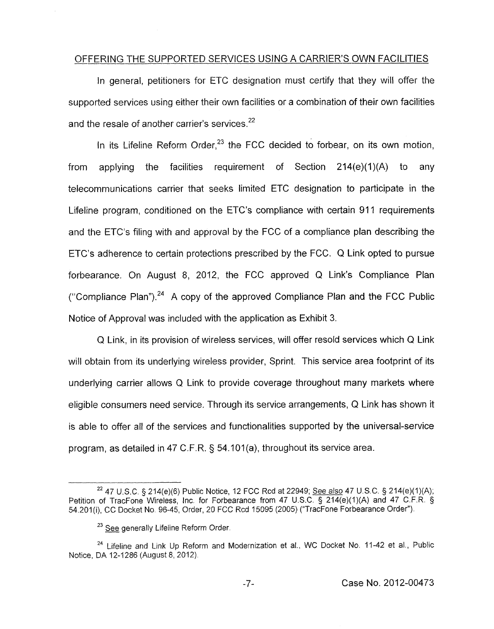## OFFERING THE SUPPORTED SERVICES USING A CARRIER'S OWN FACILITIES

In general, petitioners for ETC designation must certify that they will offer the supported services using either their own facilities or a combination of their own facilities and the resale of another carrier's services. $2^2$ 

In its Lifeline Reform Order, $23$  the FCC decided to forbear, on its own motion, from applying the facilities requirement of Section  $214(e)(1)(A)$  to any telecommunications carrier that seeks limited ETC designation to participate in the Lifeline program, conditioned on the ETC's compliance with certain 911 requirements and the ETC's filing with and approval by the FCC of a compliance plan describing the ETC's adherence to certain protections prescribed by the FCC. *Q* Link opted to pursue forbearance. On August 8, 2012, the FCC approved Q Link's Compliance Plan ("Compliance Plan").<sup>24</sup> A copy of the approved Compliance Plan and the FCC Public Notice of Approval was included with the application as Exhibit 3.

Q Link, in its provision of wireless services, will offer resold services which Q Link will obtain from its underlying wireless provider, Sprint. This service area footprint of its underlying carrier allows Q Link to provide coverage throughout many markets where eligible consumers need service. Through its service arrangements, Q Link has shown it is able to offer all of the services and functionalities supported by the universal-service program, as detailed in 47 C.F.R. 5 54.101(a), throughout its service area.

<sup>&</sup>lt;sup>22</sup> 47 U.S.C. § 214(e)(6) Public Notice, 12 FCC Rcd at 22949; See also 47 U.S.C. § 214(e)(1)(A); Petition of TracFone Wireless, Inc. for Forbearance from 47 U.S.C. **9** 214(e)(l)(A) and 47 C.F.R. **9**  54.201 (i), CC Docket No. 96-45, Order, 20 FCC Rcd 15095 (2005) ("TracFone Forbearance Order"). <sup>22</sup> 47 U.S.C. § 214(e)(6) Public Notice,<br>of TracFone Wireless, Inc. for Forbe<br>), CC Docket No. 96-45, Order, 20 FCC<br><sup>23</sup> <u>See</u> generally Lifeline Reform Order.

<sup>&</sup>lt;sup>24</sup> Lifeline and Link Up Reform and Modernization et al., WC Docket No. 11-42 et al., Public Notice, DA 12-1286 (August 8, 2012)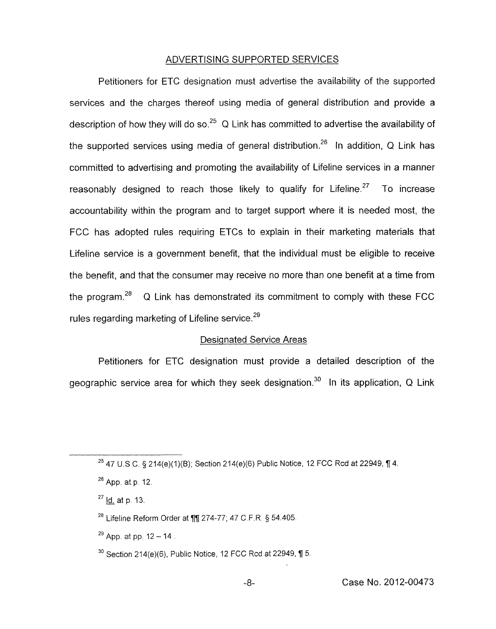## ADVERTISING SUPPORTED SERVICES

Petitioners for ETC designation must advertise the availability of the supported services and the charges thereof using media of general distribution and provide a description of how they will do so.<sup>25</sup> Q Link has committed to advertise the availability of the supported services using media of general distribution.<sup>26</sup> In addition, Q Link has committed to advertising and promoting the availability of Lifeline services in a manner reasonably designed to reach those likely to qualify for Lifeline.<sup>27</sup> To increase accountability within the program and to target support where it is needed most, the FCC has adopted rules requiring ETCs to explain in their marketing materials that Lifeline service is a government benefit, that the individual must be eligible to receive the benefit, and that the consumer may receive no more than one benefit at a time from the program.<sup>28</sup> Q Link has demonstrated its commitment to comply with these FCC rules regarding marketing of Lifeline service.<sup>29</sup>

#### Designated Service Areas

Petitioners for ETC designation must provide a detailed description of the geographic service area for which they seek designation.<sup>30</sup> In its application, Q Link

<sup>&</sup>lt;sup>25</sup> 47 U.S.C, § 214(e)(1)(B); Section 214(e)(6) Public Notice, 12 FCC Rcd at 22949, ¶ 4.

<sup>&</sup>lt;sup>26</sup> App. at p. 12.<br><sup>27</sup> <u>Id.</u> at p. 13.

Lifeline Reform Order at **77** 274-77; 4'7 C F. R. *5* 54.405.

App. at pp, 12 - 14 **29** 

<sup>&</sup>lt;sup>30</sup> Section 214(e)(6), Public Notice, 12 FCC Rcd at 22949, ¶ 5.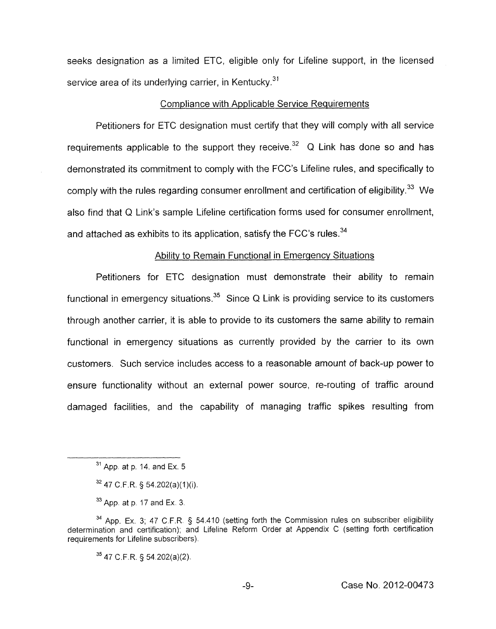seeks designation *as* a limited ETC, eligible only for Lifeline support, in the licensed service area of its underlying carrier, in Kentucky. $31$ 

#### Compliance with Applicable Service Requirements

Petitioners for ETC designation must certify that they will comply with all service requirements applicable to the support they receive.<sup>32</sup> Q Link has done so and has demonstrated its commitment to comply with the FCC's Lifeline rules, and specifically to comply with the rules regarding consumer enrollment and certification of eligibility. $^{33}$  We also find that Q Link's sample Lifeline certification forms used for consumer enrollment, and attached as exhibits to its application, satisfy the FCC's rules.<sup>34</sup>

## Ability to Remain Functional in Emergency Situations

Petitioners for ETC designation must demonstrate their ability to remain functional in emergency situations.<sup>35</sup> Since Q Link is providing service to its customers through another carrier, it is able to provide to its customers the same ability to remain functional in emergency situations as currently provided by the carrier to its own customers. Such service includes access to a reasonable amount of back-up power to ensure functionality without an external power source, re-routing of traffic around damaged facilities, and the capability of managing traffic spikes resulting from

**<sup>35</sup>**47 C.F.R § 54 202(a)(2)

-9- Case No. 2012-00473

**<sup>31</sup>**App at p. 14. and Ex. 5

<sup>&</sup>lt;sup>32</sup> 47 C.F.R. § 54.202(a)(1)(i).

<sup>33</sup> App. at p. 17 and Ex. 3.

**<sup>34</sup>**App. Ex. 3; 47 C F.R **3** 54.410 (setting forth the Commission rules on subscriber eligibility determination and certification); and Lifeline Reform Order at Appendix C (setting forth certification requirements for Lifeline subscribers).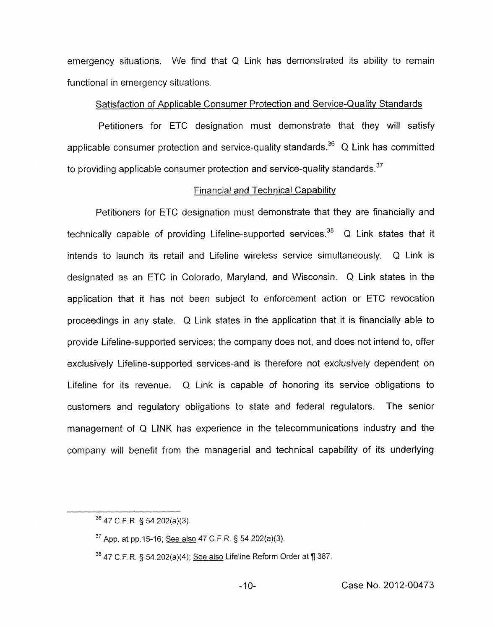emergency situations. We find that Q Link has demonstrated its ability to remain functional in emergency situations.

### Satisfaction of Applicable Consumer Protection and Service-Quality Standards

Petitioners for ETC designation must demonstrate that they will satisfy applicable consumer protection and service-quality standards.<sup>36</sup> Q Link has committed to providing applicable consumer protection and service-quality standards.<sup>37</sup>

## Financial and Technical Capability

Petitioners for ETC designation must demonstrate that they are financially and technically capable of providing Lifeline-supported services.<sup>38</sup> Q Link states that it intends to launch its retail and Lifeline wireless service simultaneously. Q Link is designated as an ETC in Colorado, Maryland, and Wisconsin. Q Link states in the application that it has not been subject to enforcement action or ETC revocation proceedings in any state. Q Link states in the application that it is financially able to provide Lifeline-supported services; the company does not, and does not intend to, offer exclusively Lifeline-supported services-and is therefore not exclusively dependent **on**  Lifeline for its revenue. Q Link is capable of honoring its service obligations to customers and regulatory obligations to state and federal regulators. The senior management of Q LINK has experience in the telecommunications industry and the company will benefit from the managerial and technical capability of its underlying

**<sup>36</sup>**47 C.F.R § 54 202(a)(3).

App. at pp.15-16; See also 47 C.F R. § 54 202(a)(3). **37** 

<sup>&</sup>lt;sup>38</sup> 47 C.F.R. § 54.202(a)(4); See also Lifeline Reform Order at ¶ 387.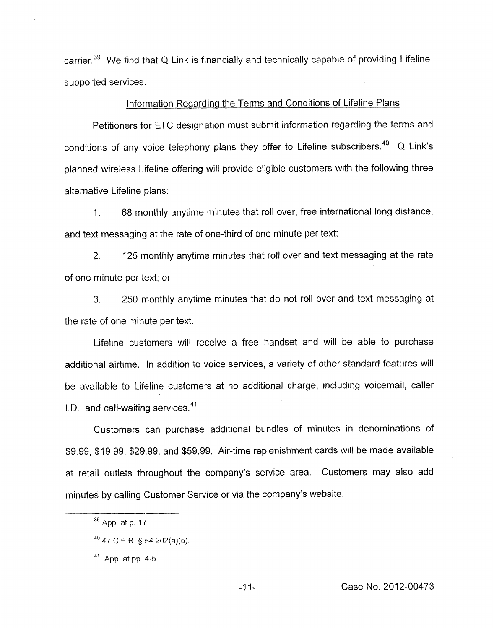carrier.39 We find that *Q* Link is financially and technically capable of providing Lifelinesupported services.

# Information Regarding the Terms and Conditions of Lifeline Plans

Petitioners for ETC designation must submit information regarding the terms and conditions of any voice telephony plans they offer to Lifeline subscribers. $^{40}$  Q Link's planned wireless Lifeline offering will provide eligible customers with the following three alternative Lifeline plans:

I. 68 monthly anytime minutes that roll over, free international long distance, and text messaging at the rate of one-third of one minute per text;

2. 125 monthly anytime minutes that roll over and text messaging at the rate of one minute per text; or

*3.* 250 monthly anytime minutes that do not roll over and text messaging at the rate of one minute per text.

Lifeline customers will receive a free handset and will be able to purchase additional airtime. In addition to voice services, a variety of other standard features will be available to Lifeline customers at no additional charge, including voicemail, caller I.D., and call-waiting services. $41$ 

Customers can purchase additional bundles of minutes in denominations of \$9.99, \$19.99, \$29.99, and \$59.99. Air-time replenishment cards will be made available at retail outlets throughout the company's service area. Customers may also add minutes by calling Customer Service or via the company's website.

**App.** at **p 17. <sup>39</sup>**

**<sup>40</sup>47** C F.R. *5* 54.202(a)(5)

**App.** at **pp. 4-5. <sup>41</sup>**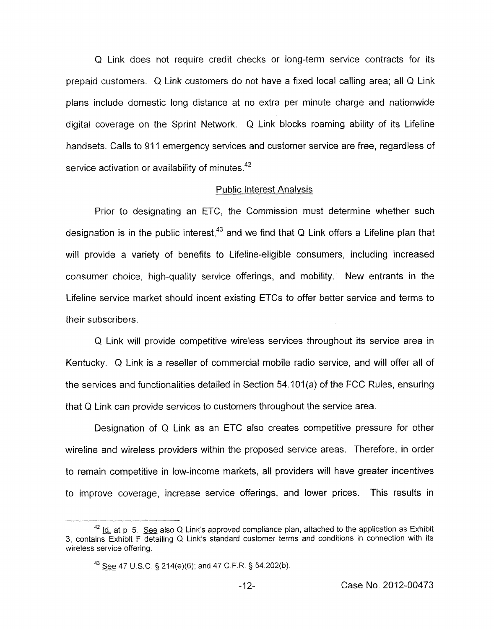Q Link does not require credit checks or long-term service contracts for its prepaid customers. Q Link customers do not have a fixed local calling area; all Q Link plans include domestic long distance at no extra per minute charge and nationwide digital coverage on the Sprint Network. Q Link blocks roaming ability of its Lifeline handsets. Calls to 911 emergency services and customer service are free, regardless of service activation or availability of minutes.<sup>42</sup>

#### Public Interest Analvsis

Prior to designating an ETC, the Commission must determine whether such designation is in the public interest.<sup>43</sup> and we find that Q Link offers a Lifeline plan that will provide a variety of benefits to Lifeline-eligible consumers, including increased consumer choice, high-quality service offerings, and mobility. New entrants in the Lifeline service market should incent existing ETCs to offer better service and terms to their subscribers.

Q Link will provide competitive wireless services throughout its service area in Kentucky. Q Link is a reseller of commercial mobile radio service, and will offer all of the services and functionalities detailed in Section 54.101 (a) *of* the FCC Rules, ensuring that Q Link can provide services to customers throughout the service area.

Designation of Q Link as an ETC also creates competitive pressure for other wireline and wireless providers within the proposed service areas. Therefore, in order to remain competitive in low-income markets, all providers will have greater incentives to improve coverage, increase service offerings, and lower prices. This results in

<sup>&</sup>lt;sup>42</sup> Id. at p. 5. See also Q Link's approved compliance plan, attached to the application as Exhibit 3, contains Exhibit F detailing Q Link's standard customer terms and conditions in connection with its wireless service offering.

**<sup>43</sup>***See* 47 U *S.C* § 214(e)(6); and 47 C F.R. § 54 202(b)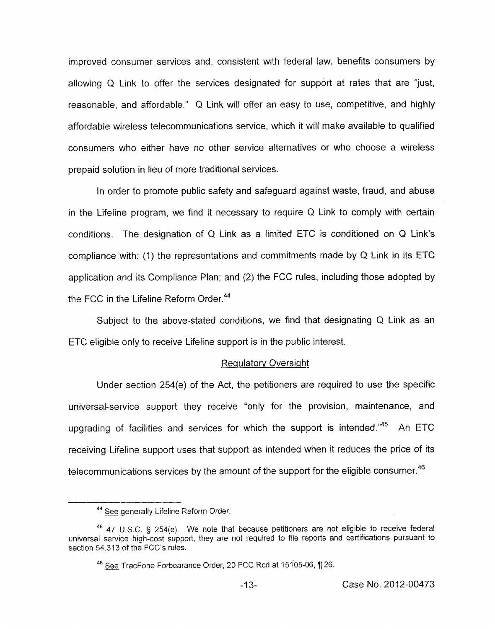improved consumer services and, consistent with federal law, benefits consumers by allowing Q Link to offer the services designated for support at rates that are "just, reasonable, and affordable." Q Link will offer an easy to use, competitive, and highly affordable wireless telecommunications service, which it will make available to qualified consumers who either have no other service alternatives or who choose a wireless prepaid solution in lieu of more traditional services.

In order to promote public safety and safeguard against waste, fraud, and abuse in the Lifeline program, we find it necessary to require Q Link to comply with certain conditions. The designation of Q Link as a limited ETC is conditioned on Q Link's compliance with: (1) the representations and commitments made by Q Link in its ETC application and its Compliance Plan; and (2) the FCC rules, including those adopted by the FCC in the Lifeline Reform Order.<sup>44</sup>

Subject to the above-stated conditions, we find that designating Q Link as an ETC eligible only to receive Lifeline support is in the public interest.

#### Regulatorv Oversiaht

Under section 254(e) of the Act, the petitioners are required to use the specific universal-service support they receive "only for the provision, maintenance, and upgrading of facilities and services for which the support is intended. $^{n45}$  An ETC receiving Lifeline support uses that support as intended when it reduces the price of its telecommunications services by the amount of the support for the eligible consumer.<sup>46</sup>

*See* generally Lifeline Reform Order. **44** 

<sup>47</sup> **U.S.C.** 5 254(e). We note that because petitioners are not eligible to receive federal **45**  universal service high-cost support, they are not required to file reports and certifications pursuant to section 54.313 of the FCC's rules.

<sup>&</sup>lt;sup>46</sup> See TracFone Forbearance Order, 20 FCC Rcd at 15105-06, ¶ 26.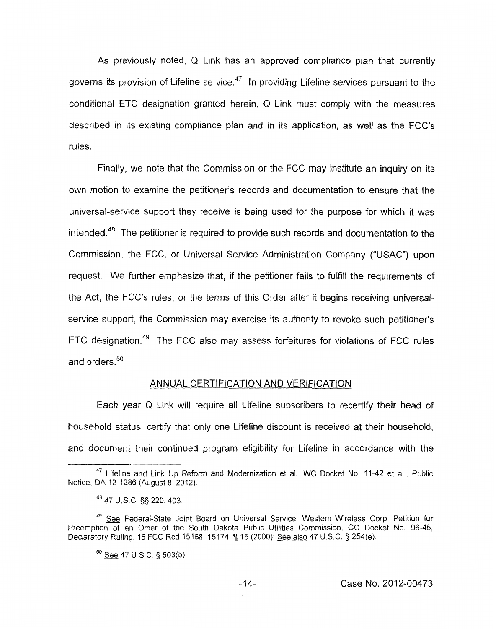As previously noted, Q Link has an approved compliance plan that currently governs its provision of Lifeline service.<sup> $47$ </sup> In providing Lifeline services pursuant to the conditional ETC designation granted herein, Q Link must comply with the measures described in its existing compliance plan and in its application, as well as the FCC's rules.

Finally, we note that the Commission or the FCC may institute an inquiry on its own motion to examine the petitioner's records and documentation to ensure that the universal-service support they receive is being used for the purpose for which it was intended.<sup>48</sup> The petitioner is required to provide such records and documentation to the Commission, the FCC, or Universal Service Administration Company ("USAC") upon request. We further emphasize that, if the petitioner fails to fulfill the requirements of the Act, the FCC's rules, or the terms of this Order after it begins receiving universalservice support, the Commission may exercise its authority to revoke such petitioner's  $ETC$  designation.<sup>49</sup> The FCC also may assess forfeitures for violations of FCC rules and orders.<sup>50</sup>

## ANNUAL CERTIFICATION AND VERIFICATION

Each year Q Link will require all Lifeline subscribers to recertify their head of household status, certify that only one Lifeline discount is received at their household, and document their continued program eligibility for Lifeline in accordance with the

**<sup>47</sup>**Lifeline and Link Up Reform and Modernization et al., WC Docket No. 11-42 et al., Public Notice, DA 12-1286 (August 8, 2012)

**<sup>48</sup>**47 U.S.C. §§ 220,403

<sup>&</sup>lt;sup>49</sup> See Federal-State Joint Board on Universal Service; Western Wireless Corp. Petition for Preemption of an Order of the South Dakota Public Utilities Commission, CC Docket No. 96-45, Declaratory Ruling, 15 FCC Rcd 15168, 15174, ¶ 15 (2000); See also 47 U.S.C. § 254(e).

<sup>50 -</sup> See 47 U S C § **503(b).**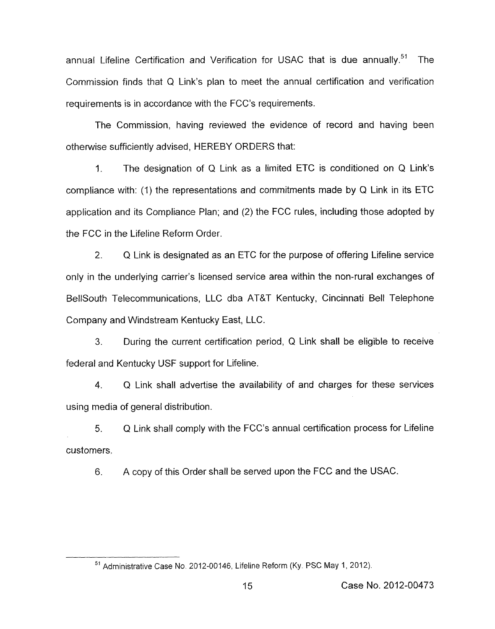annual Lifeline Certification and Verification for USAC that is due annually.<sup>51</sup> The Commission finds that Q Link's plan to meet the annual certification and verification requirements is in accordance with the FCC's requirements.

The Commission, having reviewed the evidence of record and having been otherwise sufficiently advised, HEREBY ORDERS that:

1. The designation of Q Link as a limited ETC is conditioned on Q Link's compliance with: (1) the representations and commitments made by Q Link in its ETC application and its Compliance Plan; and (2) the FCC rules, including those adopted by the FCC in the Lifeline Reform Order.

2. Q Link is designated as an ETC for the purpose of offering Lifeline service only in the underlying carrier's licensed service area within the non-rural exchanges of BellSouth Telecommunications, LLC dba AT&T Kentucky, Cincinnati Bell Telephone Company and Windstream Kentucky East, LLC.

**3.** During the current certification period, Q Link shall be eligible to receive federal and Kentucky USF support for Lifeline.

4. Q Link shall advertise the availability of and charges for these services using media of general distribution.

5. Q Link shall comply with the FCC's annual certification process for Lifeline customers.

6. A copy of this Order shall be served upon the FCC and the USAC.

<sup>&</sup>lt;sup>51</sup> Administrative Case No, 2012-00146, Lifeline Reform (Ky, PSC May 1, 2012).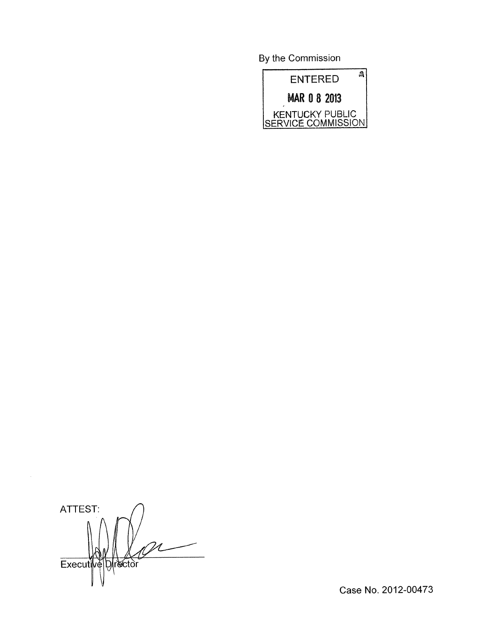By the Commission



ATTEST: *n*  Executive Director

Case No. 2012-00473